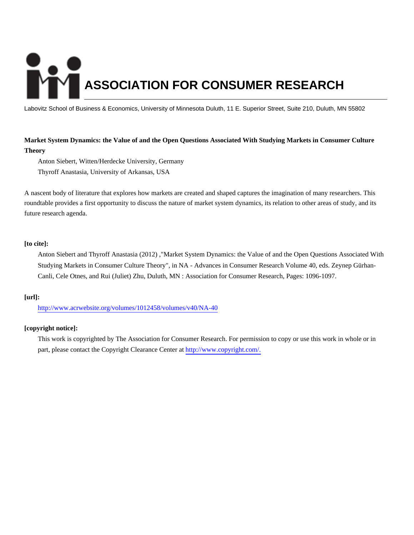# **ASSOCIATION FOR CONSUMER RESEARCH**

Labovitz School of Business & Economics, University of Minnesota Duluth, 11 E. Superior Street, Suite 210, Duluth, MN 55802

## **Market System Dynamics: the Value of and the Open Questions Associated With Studying Markets in Consumer Culture Theory**

Anton Siebert, Witten/Herdecke University, Germany

Thyroff Anastasia, University of Arkansas, USA

A nascent body of literature that explores how markets are created and shaped captures the imagination of many researchers. This roundtable provides a first opportunity to discuss the nature of market system dynamics, its relation to other areas of study, and its future research agenda.

## **[to cite]:**

Anton Siebert and Thyroff Anastasia (2012) ,"Market System Dynamics: the Value of and the Open Questions Associated With Studying Markets in Consumer Culture Theory", in NA - Advances in Consumer Research Volume 40, eds. Zeynep Gürhan-Canli, Cele Otnes, and Rui (Juliet) Zhu, Duluth, MN : Association for Consumer Research, Pages: 1096-1097.

## **[url]:**

<http://www.acrwebsite.org/volumes/1012458/volumes/v40/NA-40>

## **[copyright notice]:**

This work is copyrighted by The Association for Consumer Research. For permission to copy or use this work in whole or in part, please contact the Copyright Clearance Center at [http://www.copyright.com/.](http://www.copyright.com/)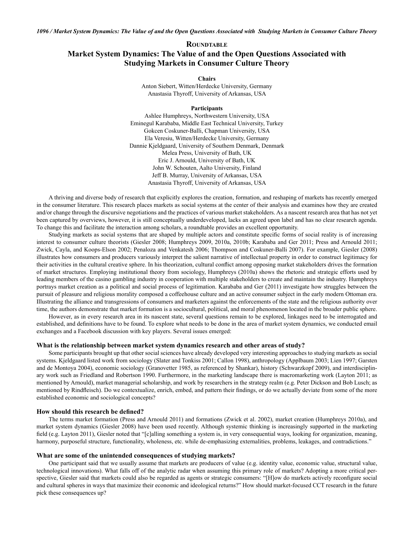# **ROUNDTABLE** Market System Dynamics: The Value of and the Open Questions Associated with **Studying Markets in Consumer Culture Theory**

**Chairs** 

Anton Siebert, Witten/Herdecke University, Germany Anastasia Thyroff, University of Arkansas, USA

#### Participants

Ashlee Humphreys, Northwestern University, USA Eminegul Karababa, Middle East Technical University, Turkey Gokcen Coskuner-Balli, Chapman University, USA Ela Veresiu, Witten/Herdecke University, Germany Dannie Kjeldgaard, University of Southern Denmark, Denmark Melea Press, University of Bath, UK Eric J. Arnould, University of Bath, UK John W. Schouten, Aalto University, Finland Jeff B. Murray, University of Arkansas, USA Anastasia Thyroff, University of Arkansas, USA

A thriving and diverse body of research that explicitly explores the creation, formation, and reshaping of markets has recently emerged in the consumer literature. This research places markets as social systems at the center of their analysis and examines how they are created and/or change through the discursive negotiations and the practices of various market stakeholders. As a nascent research area that has not yet been captured by overviews, however, it is still conceptually underdeveloped, lacks an agreed upon label and has no clear research agenda. To change this and facilitate the interaction among scholars, a roundtable provides an excellent opportunity.

Studying markets as social systems that are shaped by multiple actors and constitute specific forms of social reality is of increasing interest to consumer culture theorists (Giesler 2008; Humphreys 2009, 2010a, 2010b; Karababa and Ger 2011; Press and Arnould 2011; Zwick, Cayla, and Koops-Elson 2002; Penaloza and Venkatesh 2006; Thompson and Coskuner-Balli 2007). For example, Giesler (2008) illustrates how consumers and producers variously interpret the salient narrative of intellectual property in order to construct legitimacy for their activities in the cultural creative sphere. In his theorization, cultural conflict among opposing market stakeholders drives the formation of market structures. Employing institutional theory from sociology, Humphreys (2010a) shows the rhetoric and strategic efforts used by leading members of the casino gambling industry in cooperation with multiple stakeholders to create and maintain the industry. Humphreys portrays market creation as a political and social process of legitimation. Karababa and Ger (2011) investigate how struggles between the pursuit of pleasure and religious morality composed a coffeehouse culture and an active consumer subject in the early modern Ottoman era. Illustrating the alliance and transgressions of consumers and marketers against the enforcements of the state and the religious authority over time, the authors demonstrate that market formation is a sociocultural, political, and moral phenomenon located in the broader public sphere.

However, as in every research area in its nascent state, several questions remain to be explored, linkages need to be interrogated and established, and definitions have to be found. To explore what needs to be done in the area of market system dynamics, we conducted email exchanges and a Facebook discussion with key players. Several issues emerged:

### What is the relationship between market system dynamics research and other areas of study?

Some participants brought up that other social sciences have already developed very interesting approaches to studying markets as social systems. Kjeldgaard listed work from sociology (Slater and Tonkiss 2001; Callon 1998), anthropology (Applbaum 2003; Lien 1997; Garsten and de Montoya 2004), economic sociology (Granovetter 1985, as referenced by Shankar), history (Schwarzkopf 2009), and interdisciplinary work such as Friedland and Robertson 1990. Furthermore, in the marketing landscape there is macromarketing work (Layton 2011; as mentioned by Arnould), market managerial scholarship, and work by researchers in the strategy realm (e.g. Peter Dickson and Bob Lusch; as mentioned by Rindfleisch). Do we contextualize, enrich, embed, and pattern their findings, or do we actually deviate from some of the more established economic and sociological concepts?

#### How should this research be defined?

The terms market formation (Press and Arnould 2011) and formations (Zwick et al. 2002), market creation (Humphreys 2010a), and market system dynamics (Giesler 2008) have been used recently. Although systemic thinking is increasingly supported in the marketing field (e.g. Layton 2011), Giesler noted that "[c]alling something a system is, in very consequential ways, looking for organization, meaning, harmony, purposeful structure, functionality, wholeness, etc. while de-emphasizing externalities, problems, leakages, and contradictions."

#### What are some of the unintended consequences of studying markets?

One participant said that we usually assume that markets are producers of value (e.g. identity value, economic value, structural value, technological innovations). What falls off of the analytic radar when assuming this primary role of markets? Adopting a more critical perspective, Giesler said that markets could also be regarded as agents or strategic consumers: "[H]ow do markets actively reconfigure social and cultural spheres in ways that maximize their economic and ideological returns?" How should market-focused CCT research in the future pick these consequences up?